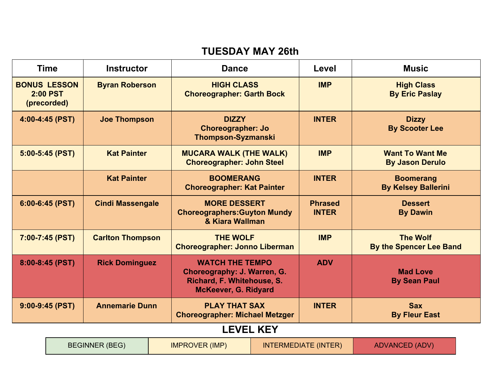#### **TUESDAY MAY 26th**

| <b>Time</b>                                           |                                                                                                       | <b>Instructor</b>                                                                                           | <b>Dance</b>                                                                  |                                                                   | Level                                      | <b>Music</b>                                     |
|-------------------------------------------------------|-------------------------------------------------------------------------------------------------------|-------------------------------------------------------------------------------------------------------------|-------------------------------------------------------------------------------|-------------------------------------------------------------------|--------------------------------------------|--------------------------------------------------|
| <b>BONUS LESSON</b><br><b>2:00 PST</b><br>(precorded) |                                                                                                       | <b>Byran Roberson</b>                                                                                       | <b>HIGH CLASS</b><br><b>Choreographer: Garth Bock</b>                         |                                                                   | <b>IMP</b>                                 | <b>High Class</b><br><b>By Eric Paslay</b>       |
| 4:00-4:45 (PST)                                       |                                                                                                       | <b>Joe Thompson</b>                                                                                         | <b>DIZZY</b><br><b>Choreographer: Jo</b><br><b>Thompson-Syzmanski</b>         |                                                                   | <b>INTER</b>                               | <b>Dizzy</b><br><b>By Scooter Lee</b>            |
| $5:00 - 5:45$ (PST)                                   |                                                                                                       | <b>Kat Painter</b>                                                                                          |                                                                               | <b>MUCARA WALK (THE WALK)</b><br><b>Choreographer: John Steel</b> |                                            | <b>Want To Want Me</b><br><b>By Jason Derulo</b> |
|                                                       |                                                                                                       | <b>Kat Painter</b>                                                                                          | <b>BOOMERANG</b><br><b>Choreographer: Kat Painter</b>                         |                                                                   | <b>INTER</b>                               | <b>Boomerang</b><br><b>By Kelsey Ballerini</b>   |
| $6:00 - 6:45$ (PST)                                   |                                                                                                       | <b>Cindi Massengale</b>                                                                                     | <b>MORE DESSERT</b><br><b>Choreographers: Guyton Mundy</b><br>& Kiara Wallman |                                                                   | <b>Phrased</b><br><b>INTER</b>             | <b>Dessert</b><br><b>By Dawin</b>                |
|                                                       | <b>THE WOLF</b><br>7:00-7:45 (PST)<br><b>Carlton Thompson</b><br><b>Choreographer: Jonno Liberman</b> |                                                                                                             |                                                                               | <b>IMP</b>                                                        | <b>The Wolf</b><br>By the Spencer Lee Band |                                                  |
| 8:00-8:45 (PST)<br><b>Rick Dominguez</b>              |                                                                                                       | <b>WATCH THE TEMPO</b><br>Choreography: J. Warren, G.<br>Richard, F. Whitehouse, S.<br>McKeever, G. Ridyard |                                                                               | <b>ADV</b>                                                        | <b>Mad Love</b><br><b>By Sean Paul</b>     |                                                  |
| $9:00-9:45$ (PST)<br><b>Annemarie Dunn</b>            |                                                                                                       | <b>PLAY THAT SAX</b><br><b>Choreographer: Michael Metzger</b>                                               |                                                                               | <b>INTER</b>                                                      | <b>Sax</b><br><b>By Fleur East</b>         |                                                  |
|                                                       |                                                                                                       |                                                                                                             |                                                                               | <b>LEVEL KEY</b>                                                  |                                            |                                                  |
|                                                       |                                                                                                       | <b>BEGINNER (BEG)</b>                                                                                       | <b>IMPROVER (IMP)</b>                                                         |                                                                   | <b>INTERMEDIATE (INTER)</b>                | <b>ADVANCED (ADV)</b>                            |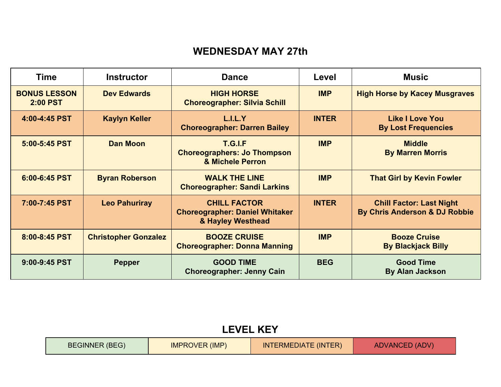#### **WEDNESDAY MAY 27th**

| <b>Time</b>                            | <b>Instructor</b>           | <b>Dance</b>                                                                      | Level        | <b>Music</b>                                                     |
|----------------------------------------|-----------------------------|-----------------------------------------------------------------------------------|--------------|------------------------------------------------------------------|
| <b>BONUS LESSON</b><br><b>2:00 PST</b> | <b>Dev Edwards</b>          | <b>HIGH HORSE</b><br><b>Choreographer: Silvia Schill</b>                          | <b>IMP</b>   | <b>High Horse by Kacey Musgraves</b>                             |
| 4:00-4:45 PST                          | <b>Kaylyn Keller</b>        | L.I.L.Y<br><b>Choreographer: Darren Bailey</b>                                    | <b>INTER</b> | <b>Like I Love You</b><br><b>By Lost Frequencies</b>             |
| 5:00-5:45 PST                          | <b>Dan Moon</b>             | <b>T.G.I.F</b><br><b>Choreographers: Jo Thompson</b><br>& Michele Perron          | <b>IMP</b>   | <b>Middle</b><br><b>By Marren Morris</b>                         |
| 6:00-6:45 PST                          | <b>Byran Roberson</b>       | <b>WALK THE LINE</b><br><b>Choreographer: Sandi Larkins</b>                       | <b>IMP</b>   | <b>That Girl by Kevin Fowler</b>                                 |
| 7:00-7:45 PST                          | <b>Leo Pahuriray</b>        | <b>CHILL FACTOR</b><br><b>Choreographer: Daniel Whitaker</b><br>& Hayley Westhead | <b>INTER</b> | <b>Chill Factor: Last Night</b><br>By Chris Anderson & DJ Robbie |
| 8:00-8:45 PST                          | <b>Christopher Gonzalez</b> | <b>BOOZE CRUISE</b><br><b>Choreographer: Donna Manning</b>                        | <b>IMP</b>   | <b>Booze Cruise</b><br><b>By Blackjack Billy</b>                 |
| 9:00-9:45 PST                          | <b>Pepper</b>               | <b>GOOD TIME</b><br><b>Choreographer: Jenny Cain</b>                              | <b>BEG</b>   | <b>Good Time</b><br><b>By Alan Jackson</b>                       |

|  | <b>LEVEL KEY</b> |  |
|--|------------------|--|
|  |                  |  |

| <b>BEGINNER (BEG)</b> | <b>IMPROVER (IMP)</b> | <b>INTERMEDIATE (INTER)</b> | <b>ADVANCED (ADV)</b> |
|-----------------------|-----------------------|-----------------------------|-----------------------|
|-----------------------|-----------------------|-----------------------------|-----------------------|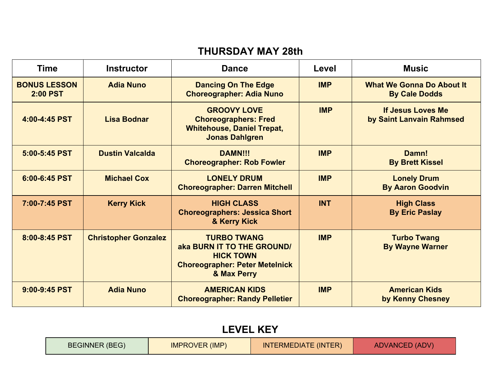#### **THURSDAY MAY 28th**

| <b>Time</b>                            | <b>Instructor</b>           | <b>Dance</b>                                                                                                                 | Level      | <b>Music</b>                                             |
|----------------------------------------|-----------------------------|------------------------------------------------------------------------------------------------------------------------------|------------|----------------------------------------------------------|
| <b>BONUS LESSON</b><br><b>2:00 PST</b> | <b>Adia Nuno</b>            | <b>Dancing On The Edge</b><br><b>Choreographer: Adia Nuno</b>                                                                | <b>IMP</b> | <b>What We Gonna Do About It</b><br><b>By Cale Dodds</b> |
| 4:00-4:45 PST                          | <b>Lisa Bodnar</b>          | <b>GROOVY LOVE</b><br><b>Choreographers: Fred</b><br><b>Whitehouse, Daniel Trepat,</b><br><b>Jonas Dahlgren</b>              | <b>IMP</b> | If Jesus Loves Me<br>by Saint Lanvain Rahmsed            |
| 5:00-5:45 PST                          | <b>Dustin Valcalda</b>      | <b>DAMN!!!</b><br><b>Choreographer: Rob Fowler</b>                                                                           | <b>IMP</b> | Damn!<br><b>By Brett Kissel</b>                          |
| 6:00-6:45 PST                          | <b>Michael Cox</b>          | <b>LONELY DRUM</b><br><b>Choreographer: Darren Mitchell</b>                                                                  | <b>IMP</b> | <b>Lonely Drum</b><br><b>By Aaron Goodvin</b>            |
| 7:00-7:45 PST                          | <b>Kerry Kick</b>           | <b>HIGH CLASS</b><br><b>Choreographers: Jessica Short</b><br>& Kerry Kick                                                    | <b>INT</b> | <b>High Class</b><br><b>By Eric Paslay</b>               |
| 8:00-8:45 PST                          | <b>Christopher Gonzalez</b> | <b>TURBO TWANG</b><br>aka BURN IT TO THE GROUND/<br><b>HICK TOWN</b><br><b>Choreographer: Peter Metelnick</b><br>& Max Perry | <b>IMP</b> | <b>Turbo Twang</b><br><b>By Wayne Warner</b>             |
| 9:00-9:45 PST                          | <b>Adia Nuno</b>            | <b>AMERICAN KIDS</b><br><b>Choreographer: Randy Pelletier</b>                                                                | <b>IMP</b> | <b>American Kids</b><br>by Kenny Chesney                 |

## **LEVEL KEY**

| <b>IMPROVER (IMP)</b> | <b>ADVANCED (ADV)</b> |
|-----------------------|-----------------------|
| <b>BEGINNER (BEG)</b> | INTERMEDIATE (INTER)  |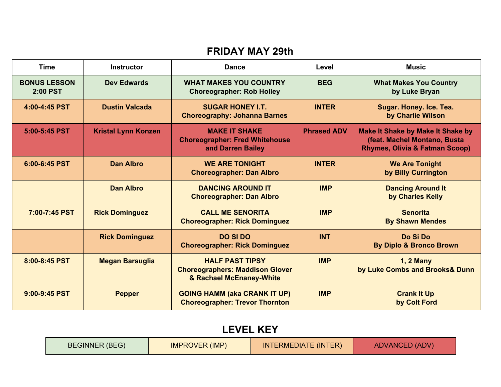### **FRIDAY MAY 29th**

| <b>Time</b>                            | <b>Instructor</b>          | <b>Dance</b>                                                                                 | Level              | <b>Music</b>                                                                                                          |
|----------------------------------------|----------------------------|----------------------------------------------------------------------------------------------|--------------------|-----------------------------------------------------------------------------------------------------------------------|
| <b>BONUS LESSON</b><br><b>2:00 PST</b> | <b>Dev Edwards</b>         | <b>WHAT MAKES YOU COUNTRY</b><br><b>Choreographer: Rob Holley</b>                            | <b>BEG</b>         | <b>What Makes You Country</b><br>by Luke Bryan                                                                        |
| 4:00-4:45 PST                          | <b>Dustin Valcada</b>      | <b>SUGAR HONEY I.T.</b><br><b>Choreography: Johanna Barnes</b>                               | <b>INTER</b>       | Sugar. Honey. Ice. Tea.<br>by Charlie Wilson                                                                          |
| 5:00-5:45 PST                          | <b>Kristal Lynn Konzen</b> | <b>MAKE IT SHAKE</b><br><b>Choreographer: Fred Whitehouse</b><br>and Darren Bailey           | <b>Phrased ADV</b> | <b>Make It Shake by Make It Shake by</b><br>(feat. Machel Montano, Busta<br><b>Rhymes, Olivia &amp; Fatman Scoop)</b> |
| 6:00-6:45 PST                          | <b>Dan Albro</b>           | <b>WE ARE TONIGHT</b><br><b>Choreographer: Dan Albro</b>                                     | <b>INTER</b>       | <b>We Are Tonight</b><br>by Billy Currington                                                                          |
|                                        | <b>Dan Albro</b>           | <b>DANCING AROUND IT</b><br><b>Choreographer: Dan Albro</b>                                  | <b>IMP</b>         | <b>Dancing Around It</b><br>by Charles Kelly                                                                          |
| 7:00-7:45 PST                          | <b>Rick Dominguez</b>      | <b>CALL ME SENORITA</b><br><b>Choreographer: Rick Dominguez</b>                              | <b>IMP</b>         | <b>Senorita</b><br><b>By Shawn Mendes</b>                                                                             |
|                                        | <b>Rick Dominguez</b>      | <b>DO SI DO</b><br><b>Choreographer: Rick Dominguez</b>                                      | <b>INT</b>         | Do Si Do<br><b>By Diplo &amp; Bronco Brown</b>                                                                        |
| 8:00-8:45 PST                          | <b>Megan Barsuglia</b>     | <b>HALF PAST TIPSY</b><br><b>Choreographers: Maddison Glover</b><br>& Rachael McEnaney-White | <b>IMP</b>         | <b>1, 2 Many</b><br>by Luke Combs and Brooks& Dunn                                                                    |
| 9:00-9:45 PST                          | <b>Pepper</b>              | <b>GOING HAMM (aka CRANK IT UP)</b><br><b>Choreographer: Trevor Thornton</b>                 | <b>IMP</b>         | <b>Crank It Up</b><br>by Colt Ford                                                                                    |

## **LEVEL KEY**

| <b>BEGINNER (BEG)</b> | <b>IMPROVER (IMP)</b> | <b>INTERMEDIATE (INTER)</b> | <b>ADVANCED (ADV)</b> |
|-----------------------|-----------------------|-----------------------------|-----------------------|
|-----------------------|-----------------------|-----------------------------|-----------------------|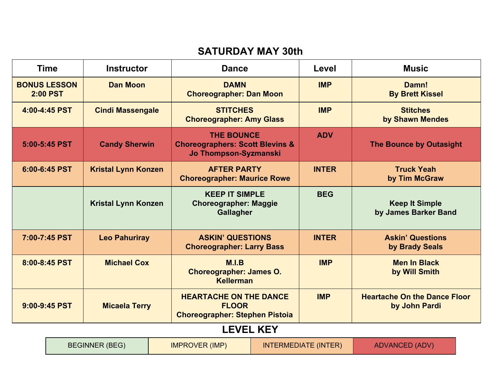### **SATURDAY MAY 30th**

| <b>BONUS LESSON</b><br><b>Dan Moon</b><br><b>DAMN</b><br><b>IMP</b><br>Damn!<br><b>2:00 PST</b><br><b>Choreographer: Dan Moon</b><br><b>By Brett Kissel</b><br>4:00-4:45 PST<br><b>STITCHES</b><br><b>IMP</b><br><b>Cindi Massengale</b><br><b>Stitches</b><br><b>Choreographer: Amy Glass</b><br>by Shawn Mendes<br><b>ADV</b><br><b>THE BOUNCE</b><br><b>Choreographers: Scott Blevins &amp;</b><br>5:00-5:45 PST<br><b>Candy Sherwin</b><br><b>The Bounce by Outasight</b><br>Jo Thompson-Syzmanski<br><b>AFTER PARTY</b><br><b>INTER</b><br>6:00-6:45 PST<br><b>Kristal Lynn Konzen</b><br><b>Truck Yeah</b><br><b>Choreographer: Maurice Rowe</b><br>by Tim McGraw<br><b>KEEP IT SIMPLE</b><br><b>BEG</b><br><b>Kristal Lynn Konzen</b><br><b>Keep It Simple</b><br><b>Choreographer: Maggie</b><br>by James Barker Band<br><b>Gallagher</b><br>7:00-7:45 PST<br><b>ASKIN' QUESTIONS</b><br><b>INTER</b><br><b>Askin' Questions</b><br><b>Leo Pahuriray</b><br><b>Choreographer: Larry Bass</b><br>by Brady Seals<br>8:00-8:45 PST<br><b>Michael Cox</b><br>M.I.B<br><b>IMP</b><br><b>Men In Black</b><br><b>Choreographer: James O.</b><br>by Will Smith<br><b>Kellerman</b><br><b>IMP</b><br><b>HEARTACHE ON THE DANCE</b><br><b>Heartache On the Dance Floor</b><br>9:00-9:45 PST<br><b>FLOOR</b><br><b>Micaela Terry</b><br>by John Pardi<br><b>Choreographer: Stephen Pistoia</b><br><b>LEVEL KEY</b> | <b>Time</b> | <b>Instructor</b> | <b>Dance</b> | Level | <b>Music</b> |
|-----------------------------------------------------------------------------------------------------------------------------------------------------------------------------------------------------------------------------------------------------------------------------------------------------------------------------------------------------------------------------------------------------------------------------------------------------------------------------------------------------------------------------------------------------------------------------------------------------------------------------------------------------------------------------------------------------------------------------------------------------------------------------------------------------------------------------------------------------------------------------------------------------------------------------------------------------------------------------------------------------------------------------------------------------------------------------------------------------------------------------------------------------------------------------------------------------------------------------------------------------------------------------------------------------------------------------------------------------------------------------------------------------------------|-------------|-------------------|--------------|-------|--------------|
|                                                                                                                                                                                                                                                                                                                                                                                                                                                                                                                                                                                                                                                                                                                                                                                                                                                                                                                                                                                                                                                                                                                                                                                                                                                                                                                                                                                                                 |             |                   |              |       |              |
|                                                                                                                                                                                                                                                                                                                                                                                                                                                                                                                                                                                                                                                                                                                                                                                                                                                                                                                                                                                                                                                                                                                                                                                                                                                                                                                                                                                                                 |             |                   |              |       |              |
|                                                                                                                                                                                                                                                                                                                                                                                                                                                                                                                                                                                                                                                                                                                                                                                                                                                                                                                                                                                                                                                                                                                                                                                                                                                                                                                                                                                                                 |             |                   |              |       |              |
|                                                                                                                                                                                                                                                                                                                                                                                                                                                                                                                                                                                                                                                                                                                                                                                                                                                                                                                                                                                                                                                                                                                                                                                                                                                                                                                                                                                                                 |             |                   |              |       |              |
|                                                                                                                                                                                                                                                                                                                                                                                                                                                                                                                                                                                                                                                                                                                                                                                                                                                                                                                                                                                                                                                                                                                                                                                                                                                                                                                                                                                                                 |             |                   |              |       |              |
|                                                                                                                                                                                                                                                                                                                                                                                                                                                                                                                                                                                                                                                                                                                                                                                                                                                                                                                                                                                                                                                                                                                                                                                                                                                                                                                                                                                                                 |             |                   |              |       |              |
|                                                                                                                                                                                                                                                                                                                                                                                                                                                                                                                                                                                                                                                                                                                                                                                                                                                                                                                                                                                                                                                                                                                                                                                                                                                                                                                                                                                                                 |             |                   |              |       |              |
|                                                                                                                                                                                                                                                                                                                                                                                                                                                                                                                                                                                                                                                                                                                                                                                                                                                                                                                                                                                                                                                                                                                                                                                                                                                                                                                                                                                                                 |             |                   |              |       |              |
|                                                                                                                                                                                                                                                                                                                                                                                                                                                                                                                                                                                                                                                                                                                                                                                                                                                                                                                                                                                                                                                                                                                                                                                                                                                                                                                                                                                                                 |             |                   |              |       |              |

| <b>BEGINNER (BEG)</b> | <b>IMPROVER (IMP)</b> | <b>INTERMEDIATE (INTER)</b> | <b>ADVANCED (ADV)</b> |
|-----------------------|-----------------------|-----------------------------|-----------------------|
|-----------------------|-----------------------|-----------------------------|-----------------------|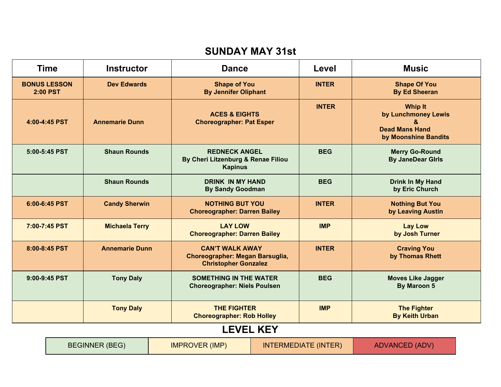#### **SUNDAY MAY 31st**

|                                        | <b>Time</b> | <b>Instructor</b>     |  | <b>Dance</b>                                                                             |                  | Level                       | <b>Music</b>                                                                                |
|----------------------------------------|-------------|-----------------------|--|------------------------------------------------------------------------------------------|------------------|-----------------------------|---------------------------------------------------------------------------------------------|
| <b>BONUS LESSON</b><br><b>2:00 PST</b> |             | <b>Dev Edwards</b>    |  | <b>Shape of You</b><br><b>By Jennifer Oliphant</b>                                       |                  | <b>INTER</b>                | <b>Shape Of You</b><br><b>By Ed Sheeran</b>                                                 |
| 4:00-4:45 PST                          |             | <b>Annemarie Dunn</b> |  | <b>ACES &amp; EIGHTS</b><br><b>Choreographer: Pat Esper</b>                              |                  | <b>INTER</b>                | <b>Whip It</b><br>by Lunchmoney Lewis<br>&<br><b>Dead Mans Hand</b><br>by Moonshine Bandits |
| 5:00-5:45 PST                          |             | <b>Shaun Rounds</b>   |  | <b>REDNECK ANGEL</b><br>By Cheri Litzenburg & Renae Filiou<br><b>Kapinus</b>             |                  | <b>BEG</b>                  | <b>Merry Go-Round</b><br><b>By JaneDear Girls</b>                                           |
|                                        |             | <b>Shaun Rounds</b>   |  | <b>DRINK IN MY HAND</b><br><b>By Sandy Goodman</b>                                       |                  | <b>BEG</b>                  | Drink In My Hand<br>by Eric Church                                                          |
| 6:00-6:45 PST                          |             | <b>Candy Sherwin</b>  |  | <b>NOTHING BUT YOU</b><br><b>Choreographer: Darren Bailey</b>                            |                  | <b>INTER</b>                | <b>Nothing But You</b><br>by Leaving Austin                                                 |
| 7:00-7:45 PST                          |             | <b>Michaela Terry</b> |  | <b>LAY LOW</b><br><b>Choreographer: Darren Bailey</b>                                    |                  | <b>IMP</b>                  | <b>Lay Low</b><br>by Josh Turner                                                            |
| 8:00-8:45 PST                          |             | <b>Annemarie Dunn</b> |  | <b>CAN'T WALK AWAY</b><br>Choreographer: Megan Barsuglia,<br><b>Christopher Gonzalez</b> |                  | <b>INTER</b>                | <b>Craving You</b><br>by Thomas Rhett                                                       |
| 9:00-9:45 PST                          |             | <b>Tony Daly</b>      |  | <b>SOMETHING IN THE WATER</b><br><b>Choreographer: Niels Poulsen</b>                     |                  | <b>BEG</b>                  | <b>Moves Like Jagger</b><br><b>By Maroon 5</b>                                              |
|                                        |             | <b>Tony Daly</b>      |  | <b>THE FIGHTER</b><br><b>Choreographer: Rob Holley</b>                                   |                  | <b>IMP</b>                  | <b>The Fighter</b><br><b>By Keith Urban</b>                                                 |
|                                        |             |                       |  |                                                                                          | <b>LEVEL KEY</b> |                             |                                                                                             |
|                                        |             | <b>BEGINNER (BEG)</b> |  | <b>IMPROVER (IMP)</b>                                                                    |                  | <b>INTERMEDIATE (INTER)</b> | <b>ADVANCED (ADV)</b>                                                                       |